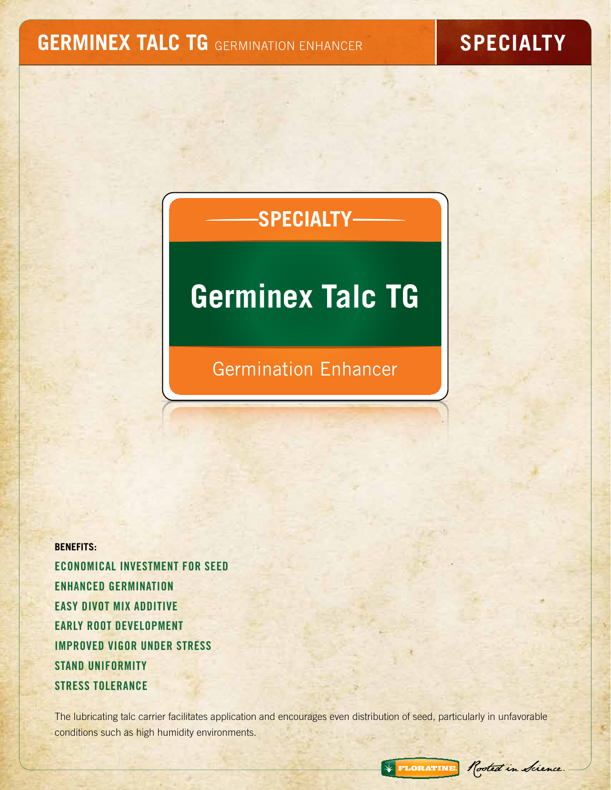### **GERMINEX TALC TG** GERMINATION ENHANCER **SPECIALTY**

## **SPECIALTY**

# **Germinex Talc TG**

Germination Enhancer

**BENEFITS:** Economical Investment for Seed Enhanced Germination Easy Divot Mix Additive Early Root Development Improved Vigor Under Stress Stand Uniformity Stress Tolerance

The lubricating talc carrier facilitates application and encourages even distribution of seed, particularly in unfavorable conditions such as high humidity environments.

\* FLORATINE Rooted in Science.